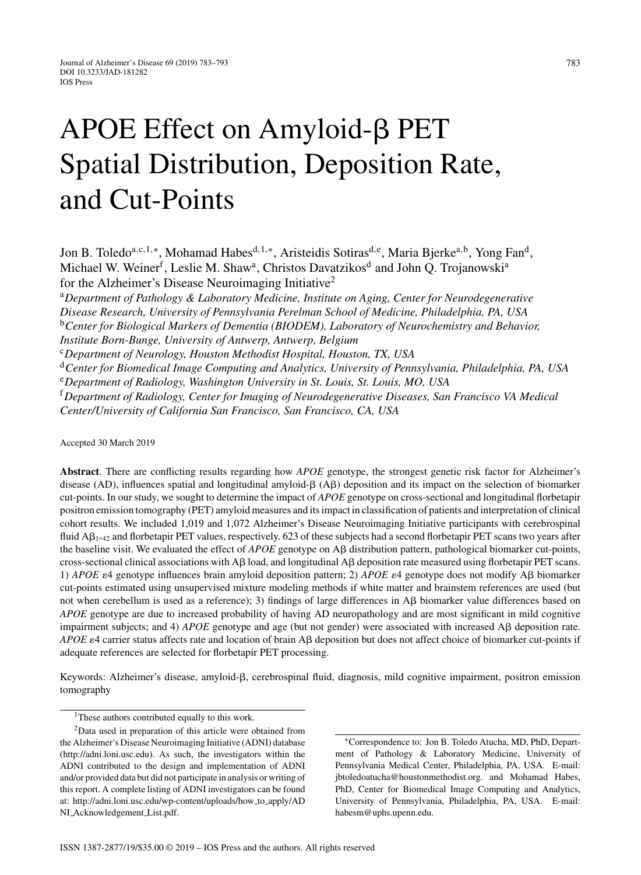# APOE Effect on Amyloid- $\beta$  PET Spatial Distribution, Deposition Rate, and Cut-Points

Jon B. Toledo<sup>a,c,1,</sup>\*, Mohamad Habes<sup>d,1,∗</sup>, Aristeidis Sotiras<sup>d,e</sup>, Maria Bjerke<sup>a,b</sup>, Yong Fan<sup>d</sup>, Michael W. Weiner<sup>f</sup>, Leslie M. Shaw<sup>a</sup>, Christos Davatzikos<sup>d</sup> and John Q. Trojanowski<sup>a</sup> for the Alzheimer's Disease Neuroimaging Initiative<sup>2</sup>

<sup>a</sup>*Department of Pathology & Laboratory Medicine, Institute on Aging, Center for Neurodegenerative Disease Research, University of Pennsylvania Perelman School of Medicine, Philadelphia, PA, USA* <sup>b</sup>*Center for Biological Markers of Dementia (BIODEM), Laboratory of Neurochemistry and Behavior, Institute Born-Bunge, University of Antwerp, Antwerp, Belgium*

<sup>c</sup>*Department of Neurology, Houston Methodist Hospital, Houston, TX, USA*

<sup>d</sup>*Center for Biomedical Image Computing and Analytics, University of Pennsylvania, Philadelphia, PA, USA* <sup>e</sup>*Department of Radiology, Washington University in St. Louis, St. Louis, MO, USA*

<sup>f</sup>*Department of Radiology, Center for Imaging of Neurodegenerative Diseases, San Francisco VA Medical Center/University of California San Francisco, San Francisco, CA, USA*

Accepted 30 March 2019

**Abstract**. There are conflicting results regarding how *APOE* genotype, the strongest genetic risk factor for Alzheimer's disease (AD), influences spatial and longitudinal amyloid- $\beta$  (A $\beta$ ) deposition and its impact on the selection of biomarker cut-points. In our study, we sought to determine the impact of *APOE* genotype on cross-sectional and longitudinal florbetapir positron emission tomography (PET) amyloid measures and its impact in classification of patients and interpretation of clinical cohort results. We included 1,019 and 1,072 Alzheimer's Disease Neuroimaging Initiative participants with cerebrospinal fluid  $\mathsf{A}\beta_{1-42}$  and florbetapir PET values, respectively. 623 of these subjects had a second florbetapir PET scans two years after the baseline visit. We evaluated the effect of  $APOE$  genotype on  $\mathsf{AB}$  distribution pattern, pathological biomarker cut-points, cross-sectional clinical associations with A $\beta$  load, and longitudinal A $\beta$  deposition rate measured using florbetapir PET scans. 1) *APOE*  $\varepsilon$ 4 genotype influences brain amyloid deposition pattern; 2) *APOE*  $\varepsilon$ 4 genotype does not modify A $\beta$  biomarker cut-points estimated using unsupervised mixture modeling methods if white matter and brainstem references are used (but not when cerebellum is used as a reference); 3) findings of large differences in  $\mathsf{AB}$  biomarker value differences based on *APOE* genotype are due to increased probability of having AD neuropathology and are most significant in mild cognitive impairment subjects; and 4)  $APOE$  genotype and age (but not gender) were associated with increased  $\mathsf{AB}$  deposition rate. *APOE*  $\varepsilon$ 4 carrier status affects rate and location of brain A $\beta$  deposition but does not affect choice of biomarker cut-points if adequate references are selected for florbetapir PET processing.

Keywords: Alzheimer's disease, amyloid- $\beta$ , cerebrospinal fluid, diagnosis, mild cognitive impairment, positron emission tomography

<sup>&</sup>lt;sup>1</sup>These authors contributed equally to this work.

<sup>2</sup>Data used in preparation of this article were obtained from the Alzheimer's Disease Neuroimaging Initiative (ADNI) database ([http://adni.loni.usc.edu\)](http://adni.loni.usc.edu). As such, the investigators within the ADNI contributed to the design and implementation of ADNI and/or provided data but did not participate in analysis or writing of this report. A complete listing of ADNI investigators can be found at: [http://adni.loni.usc.edu/wp-content/uploads/how](http://adni.loni.usc.edu/wp-content/uploads/how_to_apply/ADNI_Acknowledgement_List.pdf) to apply/AD NI [Acknowledgement](http://adni.loni.usc.edu/wp-content/uploads/how_to_apply/ADNI_Acknowledgement_List.pdf) List.pdf.

<sup>∗</sup>Correspondence to: Jon B. Toledo Atucha, MD, PhD, Department of Pathology & Laboratory Medicine, University of Pennsylvania Medical Center, Philadelphia, PA, USA. E-mail: [jbtoledoatucha@houstonmethodist.org](mailto:jbtoledoatucha@houstonmethodist.org). and Mohamad Habes, PhD, Center for Biomedical Image Computing and Analytics, University of Pennsylvania, Philadelphia, PA, USA. E-mail: [habesm@uphs.upenn.edu.](mailto:habesm@uphs.upenn.edu)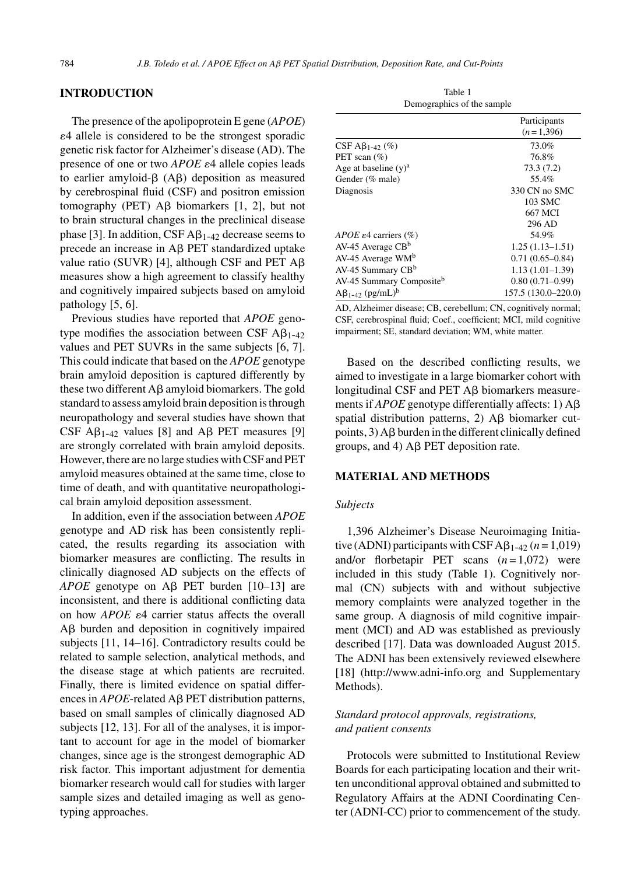## **INTRODUCTION**

The presence of the apolipoprotein E gene (*APOE*) 4 allele is considered to be the strongest sporadic genetic risk factor for Alzheimer's disease (AD). The presence of one or two *APOE*  $\varepsilon$ 4 allele copies leads to earlier amyloid- $\beta$  (A $\beta$ ) deposition as measured by cerebrospinal fluid (CSF) and positron emission tomography (PET)  $\overline{AB}$  biomarkers [1, 2], but not to brain structural changes in the preclinical disease phase [3]. In addition, CSF  $\mathbf{A}\beta_{1-42}$  decrease seems to precede an increase in  $\mathsf{AB}$  PET standardized uptake value ratio (SUVR) [4], although CSF and PET  $A\beta$ measures show a high agreement to classify healthy and cognitively impaired subjects based on amyloid pathology [5, 6].

Previous studies have reported that *APOE* genotype modifies the association between CSF  $\mathsf{A}\beta_{1-42}$ values and PET SUVRs in the same subjects [6, 7]. This could indicate that based on the *APOE* genotype brain amyloid deposition is captured differently by these two different  $\mathsf{A}\beta$  amyloid biomarkers. The gold standard to assess amyloid brain deposition is through neuropathology and several studies have shown that CSF  $\mathbf{A}\beta_{1-42}$  values [8] and  $\mathbf{A}\beta$  PET measures [9] are strongly correlated with brain amyloid deposits. However, there are no large studies with CSF and PET amyloid measures obtained at the same time, close to time of death, and with quantitative neuropathological brain amyloid deposition assessment.

In addition, even if the association between *APOE* genotype and AD risk has been consistently replicated, the results regarding its association with biomarker measures are conflicting. The results in clinically diagnosed AD subjects on the effects of  $APOE$  genotype on A $\beta$  PET burden [10–13] are inconsistent, and there is additional conflicting data on how *APOE*  $\varepsilon$ 4 carrier status affects the overall A $\beta$  burden and deposition in cognitively impaired subjects [11, 14–16]. Contradictory results could be related to sample selection, analytical methods, and the disease stage at which patients are recruited. Finally, there is limited evidence on spatial differences in  $APOE$ -related  $\mathsf{AB}$  PET distribution patterns, based on small samples of clinically diagnosed AD subjects [12, 13]. For all of the analyses, it is important to account for age in the model of biomarker changes, since age is the strongest demographic AD risk factor. This important adjustment for dementia biomarker research would call for studies with larger sample sizes and detailed imaging as well as genotyping approaches.

Table 1 Demographics of the sample

|                                      | Participants        |
|--------------------------------------|---------------------|
|                                      | $(n=1,396)$         |
| CSF A $\beta_{1-42}$ (%)             | 73.0%               |
| PET scan $(\% )$                     | 76.8%               |
| Age at baseline $(v)^a$              | 73.3(7.2)           |
| Gender (% male)                      | 55.4%               |
| Diagnosis                            | 330 CN no SMC       |
|                                      | 103 SMC             |
|                                      | 667 MCI             |
|                                      | 296 AD              |
| APOE $\varepsilon$ 4 carriers (%)    | 54.9%               |
| $AV-45$ Average $CBb$                | $1.25(1.13 - 1.51)$ |
| $AV-45$ Average $WM^b$               | $0.71(0.65 - 0.84)$ |
| AV-45 Summary CB <sup>b</sup>        | $1.13(1.01-1.39)$   |
| AV-45 Summary Compositeb             | $0.80(0.71-0.99)$   |
| $A\beta_{1-42}$ (pg/mL) <sup>b</sup> | 157.5 (130.0-220.0) |
|                                      |                     |

AD, Alzheimer disease; CB, cerebellum; CN, cognitively normal; CSF, cerebrospinal fluid; Coef., coefficient; MCI, mild cognitive impairment; SE, standard deviation; WM, white matter.

Based on the described conflicting results, we aimed to investigate in a large biomarker cohort with longitudinal CSF and PET  $\mathsf{AB}$  biomarkers measurements if  $APOE$  genotype differentially affects: 1)  $\mathbf{A}\boldsymbol{\beta}$ spatial distribution patterns,  $2)$  A $\beta$  biomarker cutpoints,  $3$ ) A $\beta$  burden in the different clinically defined groups, and 4)  $\text{AB}$  PET deposition rate.

#### **MATERIAL AND METHODS**

#### *Subjects*

1,396 Alzheimer's Disease Neuroimaging Initiative (ADNI) participants with CSF  $\mathbf{A}\beta_{1-42}$  ( $n = 1,019$ ) and/or florbetapir PET scans  $(n=1,072)$  were included in this study (Table 1). Cognitively normal (CN) subjects with and without subjective memory complaints were analyzed together in the same group. A diagnosis of mild cognitive impairment (MCI) and AD was established as previously described [17]. Data was downloaded August 2015. The ADNI has been extensively reviewed elsewhere [18] (<http://www.adni-info.org> and Supplementary Methods).

# *Standard protocol approvals, registrations, and patient consents*

Protocols were submitted to Institutional Review Boards for each participating location and their written unconditional approval obtained and submitted to Regulatory Affairs at the ADNI Coordinating Center (ADNI-CC) prior to commencement of the study.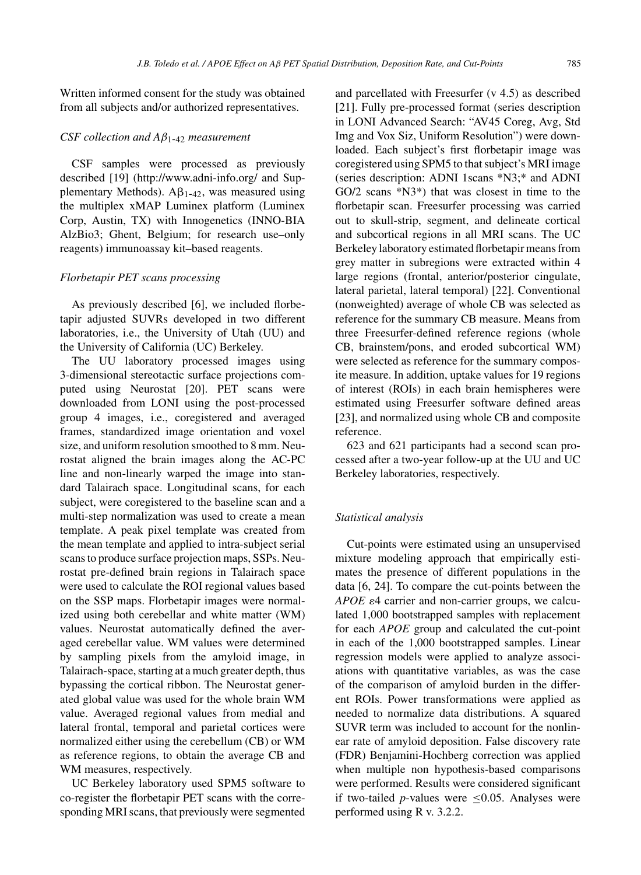Written informed consent for the study was obtained from all subjects and/or authorized representatives.

#### *CSF collection and A*β1*-*<sup>42</sup> *measurement*

CSF samples were processed as previously described [19] (<http://www.adni-info.org/> and Supplementary Methods).  $A\beta_{1-42}$ , was measured using the multiplex xMAP Luminex platform (Luminex Corp, Austin, TX) with Innogenetics (INNO-BIA AlzBio3; Ghent, Belgium; for research use–only reagents) immunoassay kit–based reagents.

## *Florbetapir PET scans processing*

As previously described [6], we included florbetapir adjusted SUVRs developed in two different laboratories, i.e., the University of Utah (UU) and the University of California (UC) Berkeley.

The UU laboratory processed images using 3-dimensional stereotactic surface projections computed using Neurostat [20]. PET scans were downloaded from LONI using the post-processed group 4 images, i.e., coregistered and averaged frames, standardized image orientation and voxel size, and uniform resolution smoothed to 8 mm. Neurostat aligned the brain images along the AC-PC line and non-linearly warped the image into standard Talairach space. Longitudinal scans, for each subject, were coregistered to the baseline scan and a multi-step normalization was used to create a mean template. A peak pixel template was created from the mean template and applied to intra-subject serial scans to produce surface projection maps, SSPs. Neurostat pre-defined brain regions in Talairach space were used to calculate the ROI regional values based on the SSP maps. Florbetapir images were normalized using both cerebellar and white matter (WM) values. Neurostat automatically defined the averaged cerebellar value. WM values were determined by sampling pixels from the amyloid image, in Talairach-space, starting at a much greater depth, thus bypassing the cortical ribbon. The Neurostat generated global value was used for the whole brain WM value. Averaged regional values from medial and lateral frontal, temporal and parietal cortices were normalized either using the cerebellum (CB) or WM as reference regions, to obtain the average CB and WM measures, respectively.

UC Berkeley laboratory used SPM5 software to co-register the florbetapir PET scans with the corresponding MRI scans, that previously were segmented

and parcellated with Freesurfer (v 4.5) as described [21]. Fully pre-processed format (series description in LONI Advanced Search: "AV45 Coreg, Avg, Std Img and Vox Siz, Uniform Resolution") were downloaded. Each subject's first florbetapir image was coregistered using SPM5 to that subject's MRI image (series description: ADNI 1scans \*N3;\* and ADNI GO/2 scans \*N3\*) that was closest in time to the florbetapir scan. Freesurfer processing was carried out to skull-strip, segment, and delineate cortical and subcortical regions in all MRI scans. The UC Berkeley laboratory estimated florbetapir means from grey matter in subregions were extracted within 4 large regions (frontal, anterior/posterior cingulate, lateral parietal, lateral temporal) [22]. Conventional (nonweighted) average of whole CB was selected as reference for the summary CB measure. Means from three Freesurfer-defined reference regions (whole CB, brainstem/pons, and eroded subcortical WM) were selected as reference for the summary composite measure. In addition, uptake values for 19 regions of interest (ROIs) in each brain hemispheres were estimated using Freesurfer software defined areas [23], and normalized using whole CB and composite reference.

623 and 621 participants had a second scan processed after a two-year follow-up at the UU and UC Berkeley laboratories, respectively.

#### *Statistical analysis*

Cut-points were estimated using an unsupervised mixture modeling approach that empirically estimates the presence of different populations in the data [6, 24]. To compare the cut-points between the *APOE*  $\varepsilon$ 4 carrier and non-carrier groups, we calculated 1,000 bootstrapped samples with replacement for each *APOE* group and calculated the cut-point in each of the 1,000 bootstrapped samples. Linear regression models were applied to analyze associations with quantitative variables, as was the case of the comparison of amyloid burden in the different ROIs. Power transformations were applied as needed to normalize data distributions. A squared SUVR term was included to account for the nonlinear rate of amyloid deposition. False discovery rate (FDR) Benjamini-Hochberg correction was applied when multiple non hypothesis-based comparisons were performed. Results were considered significant if two-tailed *p*-values were  $\leq$ 0.05. Analyses were performed using R v. 3.2.2.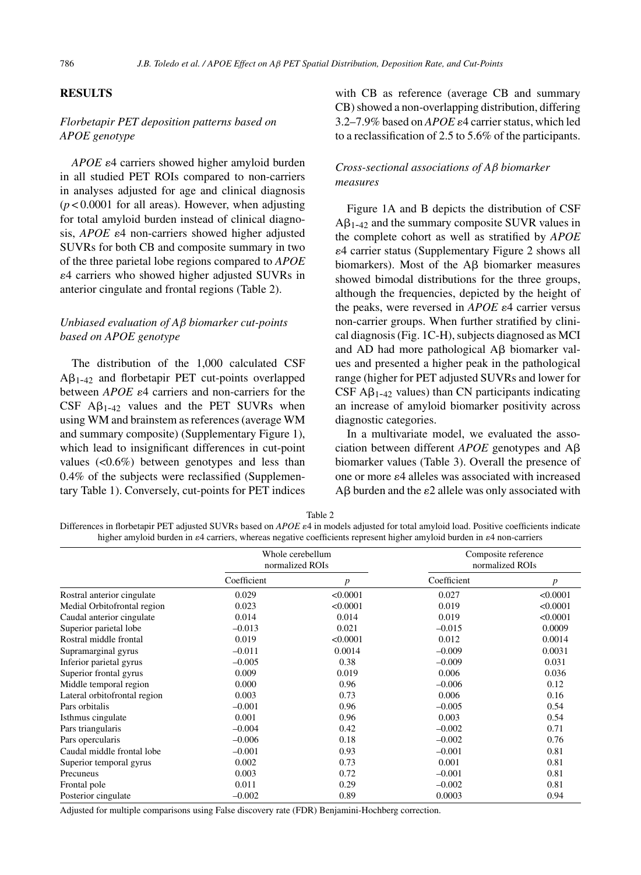## **RESULTS**

# *Florbetapir PET deposition patterns based on APOE genotype*

*APOE*  $\varepsilon$ 4 carriers showed higher amyloid burden in all studied PET ROIs compared to non-carriers in analyses adjusted for age and clinical diagnosis  $(p<0.0001$  for all areas). However, when adjusting for total amyloid burden instead of clinical diagnosis,  $APOE \varepsilon$ 4 non-carriers showed higher adjusted SUVRs for both CB and composite summary in two of the three parietal lobe regions compared to *APOE* 4 carriers who showed higher adjusted SUVRs in anterior cingulate and frontal regions (Table 2).

# *Unbiased evaluation of A*β *biomarker cut-points based on APOE genotype*

The distribution of the 1,000 calculated CSF  $A\beta_{1-42}$  and florbetapir PET cut-points overlapped between  $APOE$   $\varepsilon$ 4 carriers and non-carriers for the  $CSF$  A $\beta_{1-42}$  values and the PET SUVRs when using WM and brainstem as references (average WM and summary composite) (Supplementary Figure 1), which lead to insignificant differences in cut-point values (<0.6%) between genotypes and less than 0.4% of the subjects were reclassified (Supplementary Table 1). Conversely, cut-points for PET indices

with CB as reference (average CB and summary CB) showed a non-overlapping distribution, differing 3.2–7.9% based on  $APOE \varepsilon 4$  carrier status, which led to a reclassification of 2.5 to 5.6% of the participants.

# *Cross-sectional associations of A*β *biomarker measures*

Figure 1A and B depicts the distribution of CSF  $A\beta_{1-42}$  and the summary composite SUVR values in the complete cohort as well as stratified by *APOE* 4 carrier status (Supplementary Figure 2 shows all biomarkers). Most of the  $\mathsf{A}\mathsf{B}$  biomarker measures showed bimodal distributions for the three groups, although the frequencies, depicted by the height of the peaks, were reversed in  $APOE \varepsilon 4$  carrier versus non-carrier groups. When further stratified by clinical diagnosis (Fig. 1C-H), subjects diagnosed as MCI and AD had more pathological  $\text{A}\beta$  biomarker values and presented a higher peak in the pathological range (higher for PET adjusted SUVRs and lower for  $CSF A<sub>1-42</sub>$  values) than CN participants indicating an increase of amyloid biomarker positivity across diagnostic categories.

In a multivariate model, we evaluated the association between different  $APOE$  genotypes and  $A\beta$ biomarker values (Table 3). Overall the presence of one or more  $\varepsilon$ 4 alleles was associated with increased  $\text{A}\beta$  burden and the  $\varepsilon$ 2 allele was only associated with

|--|

Differences in florbetapir PET adjusted SUVRs based on *APOE*  $\varepsilon$ 4 in models adjusted for total amyloid load. Positive coefficients indicate higher amyloid burden in  $e4$  carriers, whereas negative coefficients represent higher amyloid burden in  $e4$  non-carriers

|                              | Whole cerebellum<br>normalized ROIs |                  | Composite reference<br>normalized ROIs |          |  |
|------------------------------|-------------------------------------|------------------|----------------------------------------|----------|--|
|                              | Coefficient                         | $\boldsymbol{p}$ | Coefficient                            | p        |  |
| Rostral anterior cingulate   | 0.029                               | < 0.0001         | 0.027                                  | < 0.0001 |  |
| Medial Orbitofrontal region  | 0.023                               | < 0.0001         | 0.019                                  | < 0.0001 |  |
| Caudal anterior cingulate    | 0.014                               | 0.014            | 0.019                                  | < 0.0001 |  |
| Superior parietal lobe       | $-0.013$                            | 0.021            | $-0.015$                               | 0.0009   |  |
| Rostral middle frontal       | 0.019                               | < 0.0001         | 0.012                                  | 0.0014   |  |
| Supramarginal gyrus          | $-0.011$                            | 0.0014           | $-0.009$                               | 0.0031   |  |
| Inferior parietal gyrus      | $-0.005$                            | 0.38             | $-0.009$                               | 0.031    |  |
| Superior frontal gyrus       | 0.009                               | 0.019            | 0.006                                  | 0.036    |  |
| Middle temporal region       | 0.000                               | 0.96             | $-0.006$                               | 0.12     |  |
| Lateral orbitofrontal region | 0.003                               | 0.73             | 0.006                                  | 0.16     |  |
| Pars orbitalis               | $-0.001$                            | 0.96             | $-0.005$                               | 0.54     |  |
| Isthmus cingulate            | 0.001                               | 0.96             | 0.003                                  | 0.54     |  |
| Pars triangularis            | $-0.004$                            | 0.42             | $-0.002$                               | 0.71     |  |
| Pars opercularis             | $-0.006$                            | 0.18             | $-0.002$                               | 0.76     |  |
| Caudal middle frontal lobe   | $-0.001$                            | 0.93             | $-0.001$                               | 0.81     |  |
| Superior temporal gyrus      | 0.002                               | 0.73             | 0.001                                  | 0.81     |  |
| Precuneus                    | 0.003                               | 0.72             | $-0.001$                               | 0.81     |  |
| Frontal pole                 | 0.011                               | 0.29             | $-0.002$                               | 0.81     |  |
| Posterior cingulate          | $-0.002$                            | 0.89             | 0.0003                                 | 0.94     |  |

Adjusted for multiple comparisons using False discovery rate (FDR) Benjamini-Hochberg correction.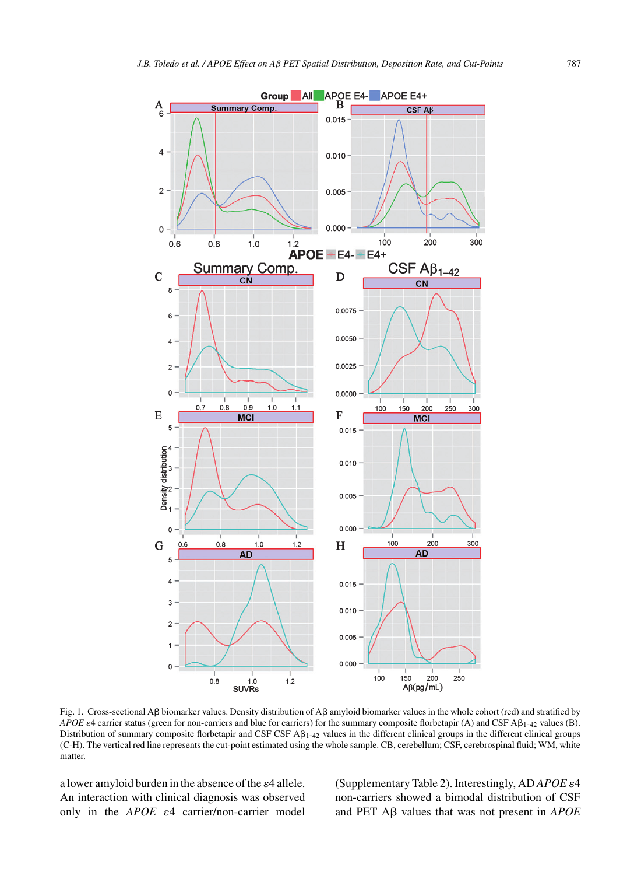

Fig. 1. Cross-sectional A $\beta$  biomarker values. Density distribution of A $\beta$  amyloid biomarker values in the whole cohort (red) and stratified by *APOE*  $\varepsilon$ 4 carrier status (green for non-carriers and blue for carriers) for the summary composite florbetapir (A) and CSF A $\beta$ <sub>1-42</sub> values (B). Distribution of summary composite florbetapir and CSF CSF  $\mathbf{A}\mathbf{\beta}_{1-42}$  values in the different clinical groups in the different clinical groups (C-H). The vertical red line represents the cut-point estimated using the whole sample. CB, cerebellum; CSF, cerebrospinal fluid; WM, white matter.

a lower amyloid burden in the absence of the  $\varepsilon$ 4 allele. An interaction with clinical diagnosis was observed only in the  $APOE$   $\varepsilon$ 4 carrier/non-carrier model (Supplementary Table 2). Interestingly, AD *APOE* 4 non-carriers showed a bimodal distribution of CSF and PET  $\overrightarrow{AB}$  values that was not present in *APOE*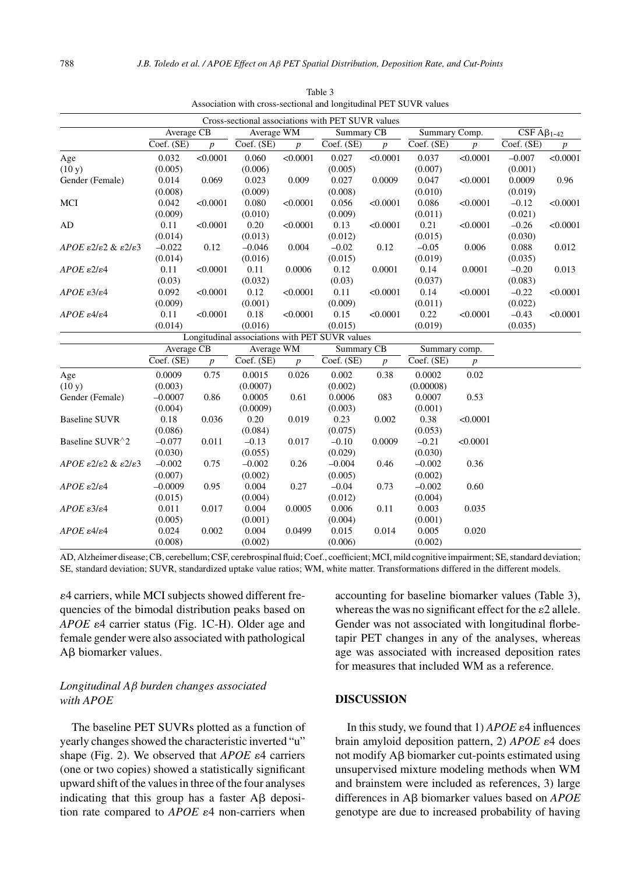|                                                              |            |                  |            |                  | Cross-sectional associations with PET SUVR values |                  |               |                  |                                       |                  |
|--------------------------------------------------------------|------------|------------------|------------|------------------|---------------------------------------------------|------------------|---------------|------------------|---------------------------------------|------------------|
|                                                              | Average CB |                  | Average WM |                  | Summary CB                                        |                  | Summary Comp. |                  | $\overline{\text{CSF A}}\beta_{1-42}$ |                  |
|                                                              | Coef. (SE) | $\boldsymbol{p}$ | Coef. (SE) | $\boldsymbol{p}$ | Coef. (SE)                                        | $\boldsymbol{p}$ | Coef. (SE)    | $\boldsymbol{p}$ | Coef. (SE)                            | $\boldsymbol{p}$ |
| Age                                                          | 0.032      | < 0.0001         | 0.060      | < 0.0001         | 0.027                                             | < 0.0001         | 0.037         | < 0.0001         | $-0.007$                              | < 0.0001         |
| (10 y)                                                       | (0.005)    |                  | (0.006)    |                  | (0.005)                                           |                  | (0.007)       |                  | (0.001)                               |                  |
| Gender (Female)                                              | 0.014      | 0.069            | 0.023      | 0.009            | 0.027                                             | 0.0009           | 0.047         | < 0.0001         | 0.0009                                | 0.96             |
|                                                              | (0.008)    |                  | (0.009)    |                  | (0.008)                                           |                  | (0.010)       |                  | (0.019)                               |                  |
| MCI                                                          | 0.042      | < 0.0001         | 0.080      | < 0.0001         | 0.056                                             | < 0.0001         | 0.086         | < 0.0001         | $-0.12$                               | < 0.0001         |
|                                                              | (0.009)    |                  | (0.010)    |                  | (0.009)                                           |                  | (0.011)       |                  | (0.021)                               |                  |
| AD                                                           | 0.11       | < 0.0001         | 0.20       | < 0.0001         | 0.13                                              | < 0.0001         | 0.21          | < 0.0001         | $-0.26$                               | < 0.0001         |
|                                                              | (0.014)    |                  | (0.013)    |                  | (0.012)                                           |                  | (0.015)       |                  | (0.030)                               |                  |
| APOE $\epsilon$ 2/ $\epsilon$ 2 & $\epsilon$ 2/ $\epsilon$ 3 | $-0.022$   | 0.12             | $-0.046$   | 0.004            | $-0.02$                                           | 0.12             | $-0.05$       | 0.006            | 0.088                                 | 0.012            |
|                                                              | (0.014)    |                  | (0.016)    |                  | (0.015)                                           |                  | (0.019)       |                  | (0.035)                               |                  |
| $APOE$ $\varepsilon$ 2/ $\varepsilon$ 4                      | 0.11       | < 0.0001         | 0.11       | 0.0006           | 0.12                                              | 0.0001           | 0.14          | 0.0001           | $-0.20$                               | 0.013            |
|                                                              | (0.03)     |                  | (0.032)    |                  | (0.03)                                            |                  | (0.037)       |                  | (0.083)                               |                  |
| $APOE$ $\varepsilon$ 3/ $\varepsilon$ 4                      | 0.092      | < 0.0001         | 0.12       | < 0.0001         | 0.11                                              | < 0.0001         | 0.14          | < 0.0001         | $-0.22$                               | < 0.0001         |
|                                                              | (0.009)    |                  | (0.001)    |                  | (0.009)                                           |                  | (0.011)       |                  | (0.022)                               |                  |
| $APOE$ $\varepsilon$ 4/ $\varepsilon$ 4                      | 0.11       | < 0.0001         | 0.18       | < 0.0001         | 0.15                                              | < 0.0001         | 0.22          | < 0.0001         | $-0.43$                               | < 0.0001         |
|                                                              | (0.014)    |                  | (0.016)    |                  | (0.015)                                           |                  | (0.019)       |                  | (0.035)                               |                  |
|                                                              |            |                  |            |                  | Longitudinal associations with PET SUVR values    |                  |               |                  |                                       |                  |
|                                                              | Average CB |                  | Average WM |                  | Summary CB                                        |                  | Summary comp. |                  |                                       |                  |
|                                                              | Coef. (SE) | $\boldsymbol{p}$ | Coef. (SE) | $\boldsymbol{p}$ | Coef. (SE)                                        | $\boldsymbol{p}$ | Coef. (SE)    | $\boldsymbol{p}$ |                                       |                  |
| Age                                                          | 0.0009     | 0.75             | 0.0015     | 0.026            | 0.002                                             | 0.38             | 0.0002        | 0.02             |                                       |                  |
| (10 y)                                                       | (0.003)    |                  | (0.0007)   |                  | (0.002)                                           |                  | (0.00008)     |                  |                                       |                  |
| Gender (Female)                                              | $-0.0007$  | 0.86             | 0.0005     | 0.61             | 0.0006                                            | 083              | 0.0007        | 0.53             |                                       |                  |
|                                                              | (0.004)    |                  | (0.0009)   |                  | (0.003)                                           |                  | (0.001)       |                  |                                       |                  |
| <b>Baseline SUVR</b>                                         | 0.18       | 0.036            | 0.20       | 0.019            | 0.23                                              | 0.002            | 0.38          | < 0.0001         |                                       |                  |
|                                                              | (0.086)    |                  | (0.084)    |                  | (0.075)                                           |                  | (0.053)       |                  |                                       |                  |
| Baseline SUVR^2                                              | $-0.077$   | 0.011            | $-0.13$    | 0.017            | $-0.10$                                           | 0.0009           | $-0.21$       | < 0.0001         |                                       |                  |
|                                                              | (0.030)    |                  | (0.055)    |                  | (0.029)                                           |                  | (0.030)       |                  |                                       |                  |
| APOE $\epsilon$ 2/ $\epsilon$ 2 & $\epsilon$ 2/ $\epsilon$ 3 | $-0.002$   | 0.75             | $-0.002$   | 0.26             | $-0.004$                                          | 0.46             | $-0.002$      | 0.36             |                                       |                  |
|                                                              | (0.007)    |                  | (0.002)    |                  | (0.005)                                           |                  | (0.002)       |                  |                                       |                  |
| $APOE$ $\varepsilon$ 2/ $\varepsilon$ 4                      | $-0.0009$  | 0.95             | 0.004      | 0.27             | $-0.04$                                           | 0.73             | $-0.002$      | 0.60             |                                       |                  |
|                                                              | (0.015)    |                  | (0.004)    |                  | (0.012)                                           |                  | (0.004)       |                  |                                       |                  |
| $APOE$ $\varepsilon$ 3/ $\varepsilon$ 4                      | 0.011      | 0.017            | 0.004      | 0.0005           | 0.006                                             | 0.11             | 0.003         | 0.035            |                                       |                  |
|                                                              | (0.005)    |                  | (0.001)    |                  | (0.004)                                           |                  | (0.001)       |                  |                                       |                  |
| $APOE \varepsilon 4/\varepsilon 4$                           | 0.024      | 0.002            | 0.004      | 0.0499           | 0.015                                             | 0.014            | 0.005         | 0.020            |                                       |                  |
|                                                              | (0.008)    |                  | (0.002)    |                  | (0.006)                                           |                  | (0.002)       |                  |                                       |                  |

Table 3 Association with cross-sectional and longitudinal PET SUVR values

AD, Alzheimer disease; CB, cerebellum; CSF, cerebrospinal fluid; Coef., coefficient; MCI, mild cognitive impairment; SE, standard deviation; SE, standard deviation; SUVR, standardized uptake value ratios; WM, white matter. Transformations differed in the different models.

4 carriers, while MCI subjects showed different frequencies of the bimodal distribution peaks based on *APOE*  $\varepsilon$ 4 carrier status (Fig. 1C-H). Older age and female gender were also associated with pathological Aβ biomarker values.

## *Longitudinal A*β *burden changes associated with APOE*

The baseline PET SUVRs plotted as a function of yearly changes showed the characteristic inverted "u" shape (Fig. 2). We observed that  $APOE \varepsilon 4$  carriers (one or two copies) showed a statistically significant upward shift of the values in three of the four analyses indicating that this group has a faster  $\text{A}\beta$  deposition rate compared to  $APOE$   $\varepsilon$ 4 non-carriers when

accounting for baseline biomarker values (Table 3), whereas the was no significant effect for the  $\varepsilon$ 2 allele. Gender was not associated with longitudinal florbetapir PET changes in any of the analyses, whereas age was associated with increased deposition rates for measures that included WM as a reference.

## **DISCUSSION**

In this study, we found that  $1)$  *APOE*  $\varepsilon$ 4 influences brain amyloid deposition pattern, 2) *APOE*  $\varepsilon$ 4 does not modify  $A\beta$  biomarker cut-points estimated using unsupervised mixture modeling methods when WM and brainstem were included as references, 3) large differences in A<sub>B</sub> biomarker values based on *APOE* genotype are due to increased probability of having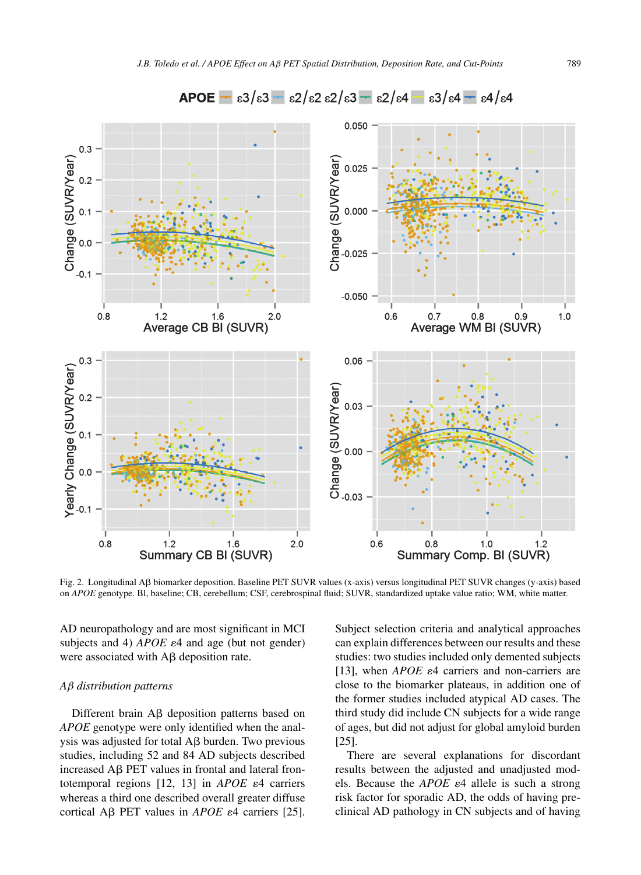

Fig. 2. Longitudinal Aß biomarker deposition. Baseline PET SUVR values (x-axis) versus longitudinal PET SUVR changes (y-axis) based on *APOE* genotype. Bl, baseline; CB, cerebellum; CSF, cerebrospinal fluid; SUVR, standardized uptake value ratio; WM, white matter.

AD neuropathology and are most significant in MCI subjects and 4)  $APOE \varepsilon$ 4 and age (but not gender) were associated with  $\text{A}\beta$  deposition rate.

#### *A*β *distribution patterns*

Different brain  $\text{A}\beta$  deposition patterns based on *APOE* genotype were only identified when the analysis was adjusted for total  $A\beta$  burden. Two previous studies, including 52 and 84 AD subjects described increased  $\overline{AB}$  PET values in frontal and lateral frontotemporal regions  $[12, 13]$  in *APOE*  $\varepsilon$ 4 carriers whereas a third one described overall greater diffuse cortical A $\beta$  PET values in *APOE*  $\varepsilon$ 4 carriers [25].

Subject selection criteria and analytical approaches can explain differences between our results and these studies: two studies included only demented subjects [13], when *APOE*  $\varepsilon$ 4 carriers and non-carriers are close to the biomarker plateaus, in addition one of the former studies included atypical AD cases. The third study did include CN subjects for a wide range of ages, but did not adjust for global amyloid burden [25].

There are several explanations for discordant results between the adjusted and unadjusted models. Because the *APOE*  $\varepsilon$ 4 allele is such a strong risk factor for sporadic AD, the odds of having preclinical AD pathology in CN subjects and of having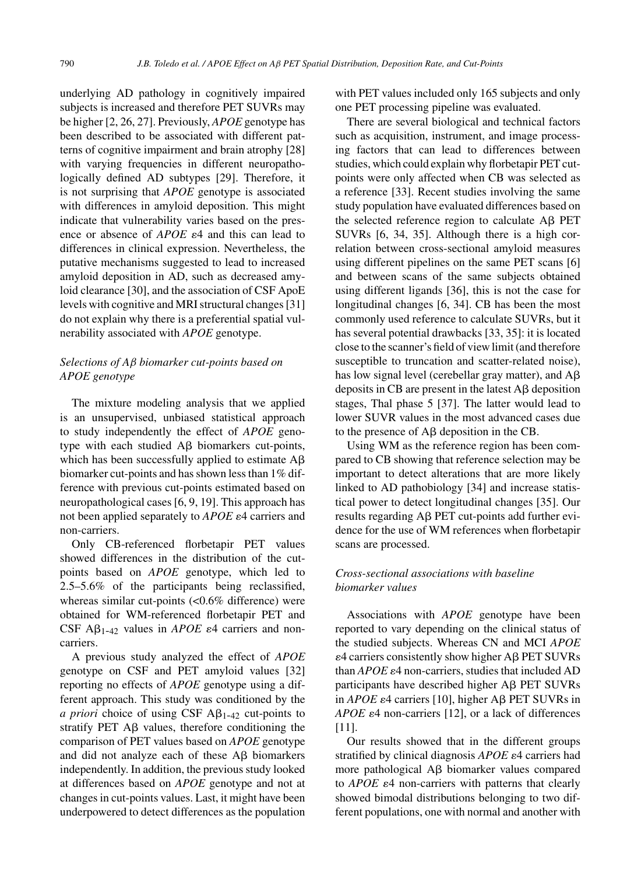underlying AD pathology in cognitively impaired subjects is increased and therefore PET SUVRs may be higher [2, 26, 27]. Previously, *APOE* genotype has been described to be associated with different patterns of cognitive impairment and brain atrophy [28] with varying frequencies in different neuropathologically defined AD subtypes [29]. Therefore, it is not surprising that *APOE* genotype is associated with differences in amyloid deposition. This might indicate that vulnerability varies based on the presence or absence of  $APOE$   $\varepsilon$ <sup>4</sup> and this can lead to differences in clinical expression. Nevertheless, the putative mechanisms suggested to lead to increased amyloid deposition in AD, such as decreased amyloid clearance [30], and the association of CSF ApoE levels with cognitive and MRI structural changes [31] do not explain why there is a preferential spatial vulnerability associated with *APOE* genotype.

# *Selections of A*β *biomarker cut-points based on APOE genotype*

The mixture modeling analysis that we applied is an unsupervised, unbiased statistical approach to study independently the effect of *APOE* genotype with each studied  $\text{A}\beta$  biomarkers cut-points, which has been successfully applied to estimate  $A\beta$ biomarker cut-points and has shown less than 1% difference with previous cut-points estimated based on neuropathological cases [6, 9, 19]. This approach has not been applied separately to *APOE*  $\varepsilon$ 4 carriers and non-carriers.

Only CB-referenced florbetapir PET values showed differences in the distribution of the cutpoints based on *APOE* genotype, which led to 2.5–5.6% of the participants being reclassified, whereas similar cut-points (<0.6% difference) were obtained for WM-referenced florbetapir PET and CSF  $\mathsf{A}\beta_{1-42}$  values in *APOE*  $\varepsilon$ 4 carriers and noncarriers.

A previous study analyzed the effect of *APOE* genotype on CSF and PET amyloid values [32] reporting no effects of *APOE* genotype using a different approach. This study was conditioned by the *a priori* choice of using CSF  $\mathbf{A}\beta_{1-42}$  cut-points to stratify PET  $\overrightarrow{AB}$  values, therefore conditioning the comparison of PET values based on *APOE* genotype and did not analyze each of these  $\text{A}\beta$  biomarkers independently. In addition, the previous study looked at differences based on *APOE* genotype and not at changes in cut-points values. Last, it might have been underpowered to detect differences as the population

with PET values included only 165 subjects and only one PET processing pipeline was evaluated.

There are several biological and technical factors such as acquisition, instrument, and image processing factors that can lead to differences between studies, which could explain why florbetapir PET cutpoints were only affected when CB was selected as a reference [33]. Recent studies involving the same study population have evaluated differences based on the selected reference region to calculate  $\text{A}\beta$  PET SUVRs [6, 34, 35]. Although there is a high correlation between cross-sectional amyloid measures using different pipelines on the same PET scans [6] and between scans of the same subjects obtained using different ligands [36], this is not the case for longitudinal changes [6, 34]. CB has been the most commonly used reference to calculate SUVRs, but it has several potential drawbacks [33, 35]: it is located close to the scanner's field of view limit (and therefore susceptible to truncation and scatter-related noise), has low signal level (cerebellar gray matter), and  $A\beta$ deposits in CB are present in the latest  $A\beta$  deposition stages, Thal phase 5 [37]. The latter would lead to lower SUVR values in the most advanced cases due to the presence of  $A\beta$  deposition in the CB.

Using WM as the reference region has been compared to CB showing that reference selection may be important to detect alterations that are more likely linked to AD pathobiology [34] and increase statistical power to detect longitudinal changes [35]. Our results regarding  $\mathsf{AB}$  PET cut-points add further evidence for the use of WM references when florbetapir scans are processed.

# *Cross-sectional associations with baseline biomarker values*

Associations with *APOE* genotype have been reported to vary depending on the clinical status of the studied subjects. Whereas CN and MCI *APOE*  $\varepsilon$ 4 carriers consistently show higher A $\beta$  PET SUVRs than  $APOE \varepsilon$ <sup>4</sup> non-carriers, studies that included AD participants have described higher Aß PET SUVRs in  $APOE$   $\varepsilon$ 4 carriers [10], higher A $\beta$  PET SUVRs in *APOE*  $\varepsilon$ 4 non-carriers [12], or a lack of differences [11].

Our results showed that in the different groups stratified by clinical diagnosis *APOE*  $\varepsilon$ 4 carriers had more pathological  $\mathsf{A}\beta$  biomarker values compared to  $APOE$   $\varepsilon$ 4 non-carriers with patterns that clearly showed bimodal distributions belonging to two different populations, one with normal and another with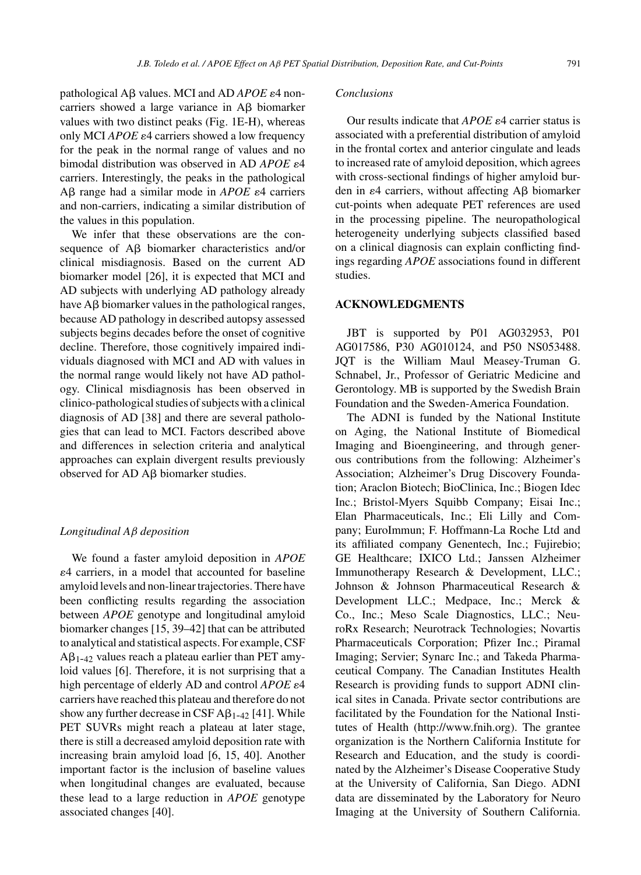pathological Aβ values. MCI and AD *APOE* ε4 noncarriers showed a large variance in  $\overrightarrow{AB}$  biomarker values with two distinct peaks (Fig. 1E-H), whereas only MCI  $APOE \varepsilon$ 4 carriers showed a low frequency for the peak in the normal range of values and no bimodal distribution was observed in AD *APOE*  $\varepsilon$ 4 carriers. Interestingly, the peaks in the pathological  $A\beta$  range had a similar mode in  $APOE$   $\varepsilon$ 4 carriers and non-carriers, indicating a similar distribution of the values in this population.

We infer that these observations are the consequence of  $\overrightarrow{AB}$  biomarker characteristics and/or clinical misdiagnosis. Based on the current AD biomarker model [26], it is expected that MCI and AD subjects with underlying AD pathology already have  $\text{A}\beta$  biomarker values in the pathological ranges, because AD pathology in described autopsy assessed subjects begins decades before the onset of cognitive decline. Therefore, those cognitively impaired individuals diagnosed with MCI and AD with values in the normal range would likely not have AD pathology. Clinical misdiagnosis has been observed in clinico-pathological studies of subjects with a clinical diagnosis of AD [38] and there are several pathologies that can lead to MCI. Factors described above and differences in selection criteria and analytical approaches can explain divergent results previously observed for  $AD$   $A\beta$  biomarker studies.

#### *Longitudinal A*β *deposition*

We found a faster amyloid deposition in *APOE* 4 carriers, in a model that accounted for baseline amyloid levels and non-linear trajectories. There have been conflicting results regarding the association between *APOE* genotype and longitudinal amyloid biomarker changes [15, 39–42] that can be attributed to analytical and statistical aspects. For example, CSF  $A\beta_{1-42}$  values reach a plateau earlier than PET amyloid values [6]. Therefore, it is not surprising that a high percentage of elderly AD and control *APOE*  $\varepsilon$ 4 carriers have reached this plateau and therefore do not show any further decrease in CSF  $\mathsf{A}\beta_{1-42}$  [41]. While PET SUVRs might reach a plateau at later stage, there is still a decreased amyloid deposition rate with increasing brain amyloid load [6, 15, 40]. Another important factor is the inclusion of baseline values when longitudinal changes are evaluated, because these lead to a large reduction in *APOE* genotype associated changes [40].

## *Conclusions*

Our results indicate that  $APOE \varepsilon 4$  carrier status is associated with a preferential distribution of amyloid in the frontal cortex and anterior cingulate and leads to increased rate of amyloid deposition, which agrees with cross-sectional findings of higher amyloid burden in  $\varepsilon$ 4 carriers, without affecting A $\beta$  biomarker cut-points when adequate PET references are used in the processing pipeline. The neuropathological heterogeneity underlying subjects classified based on a clinical diagnosis can explain conflicting findings regarding *APOE* associations found in different studies.

## **ACKNOWLEDGMENTS**

JBT is supported by P01 AG032953, P01 AG017586, P30 AG010124, and P50 NS053488. JQT is the William Maul Measey-Truman G. Schnabel, Jr., Professor of Geriatric Medicine and Gerontology. MB is supported by the Swedish Brain Foundation and the Sweden-America Foundation.

The ADNI is funded by the National Institute on Aging, the National Institute of Biomedical Imaging and Bioengineering, and through generous contributions from the following: Alzheimer's Association; Alzheimer's Drug Discovery Foundation; Araclon Biotech; BioClinica, Inc.; Biogen Idec Inc.; Bristol-Myers Squibb Company; Eisai Inc.; Elan Pharmaceuticals, Inc.; Eli Lilly and Company; EuroImmun; F. Hoffmann-La Roche Ltd and its affiliated company Genentech, Inc.; Fujirebio; GE Healthcare; IXICO Ltd.; Janssen Alzheimer Immunotherapy Research & Development, LLC.; Johnson & Johnson Pharmaceutical Research & Development LLC.; Medpace, Inc.; Merck & Co., Inc.; Meso Scale Diagnostics, LLC.; NeuroRx Research; Neurotrack Technologies; Novartis Pharmaceuticals Corporation; Pfizer Inc.; Piramal Imaging; Servier; Synarc Inc.; and Takeda Pharmaceutical Company. The Canadian Institutes Health Research is providing funds to support ADNI clinical sites in Canada. Private sector contributions are facilitated by the Foundation for the National Institutes of Health ([http://www.fnih.org\)](http://www.fnih.org). The grantee organization is the Northern California Institute for Research and Education, and the study is coordinated by the Alzheimer's Disease Cooperative Study at the University of California, San Diego. ADNI data are disseminated by the Laboratory for Neuro Imaging at the University of Southern California.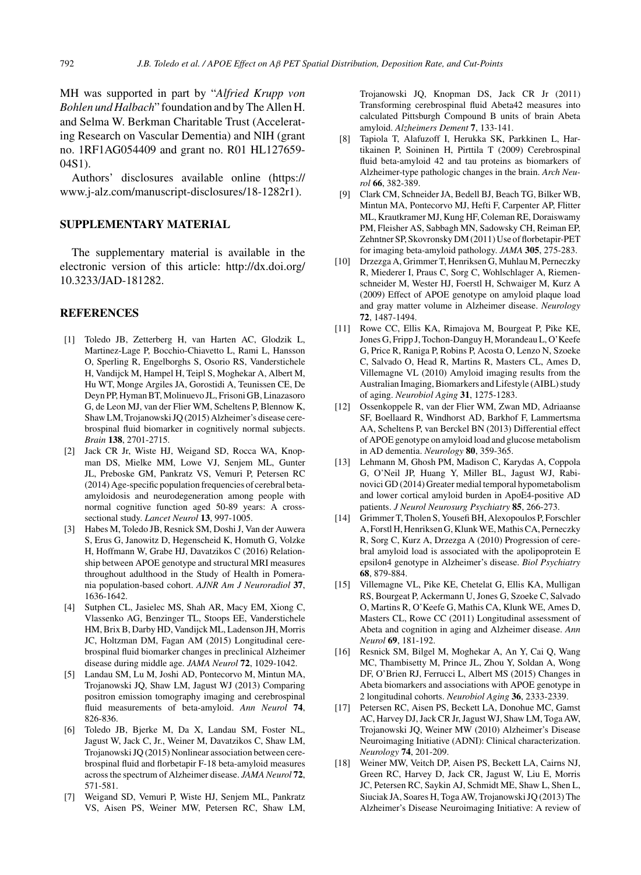MH was supported in part by "*Alfried Krupp von Bohlen und Halbach*" foundation and by The Allen H. and Selma W. Berkman Charitable Trust (Accelerating Research on Vascular Dementia) and NIH (grant no. 1RF1AG054409 and grant no. R01 HL127659- 04S1).

Authors' disclosures available online ([https://](https://www.j-alz.com/manuscript-disclosures/18-1282r1) www.j-alz.com/manuscript-disclosures/18-1282r1).

## **SUPPLEMENTARY MATERIAL**

The supplementary material is available in the electronic version of this article: [http://dx.doi.org/](http://dx.doi.org/10.3233/JAD-181282) 10.3233/JAD-181282.

#### **REFERENCES**

- [1] Toledo JB, Zetterberg H, van Harten AC, Glodzik L, Martinez-Lage P, Bocchio-Chiavetto L, Rami L, Hansson O, Sperling R, Engelborghs S, Osorio RS, Vanderstichele H, Vandijck M, Hampel H, Teipl S, Moghekar A, Albert M, Hu WT, Monge Argiles JA, Gorostidi A, Teunissen CE, De Deyn PP, Hyman BT, Molinuevo JL, Frisoni GB, Linazasoro G, de Leon MJ, van der Flier WM, Scheltens P, Blennow K, Shaw LM, Trojanowski JQ (2015) Alzheimer's disease cerebrospinal fluid biomarker in cognitively normal subjects. *Brain* **138**, 2701-2715.
- [2] Jack CR Jr, Wiste HJ, Weigand SD, Rocca WA, Knopman DS, Mielke MM, Lowe VJ, Senjem ML, Gunter JL, Preboske GM, Pankratz VS, Vemuri P, Petersen RC (2014) Age-specific population frequencies of cerebral betaamyloidosis and neurodegeneration among people with normal cognitive function aged 50-89 years: A crosssectional study. *Lancet Neurol* **13**, 997-1005.
- [3] Habes M, Toledo JB, Resnick SM, Doshi J, Van der Auwera S, Erus G, Janowitz D, Hegenscheid K, Homuth G, Volzke H, Hoffmann W, Grabe HJ, Davatzikos C (2016) Relationship between APOE genotype and structural MRI measures throughout adulthood in the Study of Health in Pomerania population-based cohort. *AJNR Am J Neuroradiol* **37**, 1636-1642.
- [4] Sutphen CL, Jasielec MS, Shah AR, Macy EM, Xiong C, Vlassenko AG, Benzinger TL, Stoops EE, Vanderstichele HM, Brix B, Darby HD, Vandijck ML, Ladenson JH, Morris JC, Holtzman DM, Fagan AM (2015) Longitudinal cerebrospinal fluid biomarker changes in preclinical Alzheimer disease during middle age. *JAMA Neurol* **72**, 1029-1042.
- [5] Landau SM, Lu M, Joshi AD, Pontecorvo M, Mintun MA, Trojanowski JQ, Shaw LM, Jagust WJ (2013) Comparing positron emission tomography imaging and cerebrospinal fluid measurements of beta-amyloid. *Ann Neurol* **74**, 826-836.
- [6] Toledo JB, Bjerke M, Da X, Landau SM, Foster NL, Jagust W, Jack C, Jr., Weiner M, Davatzikos C, Shaw LM, Trojanowski JQ (2015) Nonlinear association between cerebrospinal fluid and florbetapir F-18 beta-amyloid measures across the spectrum of Alzheimer disease. *JAMA Neurol* **72**, 571-581.
- [7] Weigand SD, Vemuri P, Wiste HJ, Senjem ML, Pankratz VS, Aisen PS, Weiner MW, Petersen RC, Shaw LM,

Trojanowski JQ, Knopman DS, Jack CR Jr (2011) Transforming cerebrospinal fluid Abeta42 measures into calculated Pittsburgh Compound B units of brain Abeta amyloid. *Alzheimers Dement* **7**, 133-141.

- [8] Tapiola T, Alafuzoff I, Herukka SK, Parkkinen L, Hartikainen P, Soininen H, Pirttila T (2009) Cerebrospinal fluid beta-amyloid 42 and tau proteins as biomarkers of Alzheimer-type pathologic changes in the brain. *Arch Neurol* **66**, 382-389.
- [9] Clark CM, Schneider JA, Bedell BJ, Beach TG, Bilker WB, Mintun MA, Pontecorvo MJ, Hefti F, Carpenter AP, Flitter ML, Krautkramer MJ, Kung HF, Coleman RE, Doraiswamy PM, Fleisher AS, Sabbagh MN, Sadowsky CH, Reiman EP, Zehntner SP, Skovronsky DM (2011) Use of florbetapir-PET for imaging beta-amyloid pathology. *JAMA* **305**, 275-283.
- [10] Drzezga A, Grimmer T, Henriksen G, Muhlau M, Perneczky R, Miederer I, Praus C, Sorg C, Wohlschlager A, Riemenschneider M, Wester HJ, Foerstl H, Schwaiger M, Kurz A (2009) Effect of APOE genotype on amyloid plaque load and gray matter volume in Alzheimer disease. *Neurology* **72**, 1487-1494.
- [11] Rowe CC, Ellis KA, Rimajova M, Bourgeat P, Pike KE, Jones G, Fripp J, Tochon-Danguy H, Morandeau L, O'Keefe G, Price R, Raniga P, Robins P, Acosta O, Lenzo N, Szoeke C, Salvado O, Head R, Martins R, Masters CL, Ames D, Villemagne VL (2010) Amyloid imaging results from the Australian Imaging, Biomarkers and Lifestyle (AIBL) study of aging. *Neurobiol Aging* **31**, 1275-1283.
- [12] Ossenkoppele R, van der Flier WM, Zwan MD, Adriaanse SF, Boellaard R, Windhorst AD, Barkhof F, Lammertsma AA, Scheltens P, van Berckel BN (2013) Differential effect of APOE genotype on amyloid load and glucose metabolism in AD dementia. *Neurology* **80**, 359-365.
- [13] Lehmann M, Ghosh PM, Madison C, Karydas A, Coppola G, O'Neil JP, Huang Y, Miller BL, Jagust WJ, Rabinovici GD (2014) Greater medial temporal hypometabolism and lower cortical amyloid burden in ApoE4-positive AD patients. *J Neurol Neurosurg Psychiatry* **85**, 266-273.
- [14] Grimmer T, Tholen S, Yousefi BH, Alexopoulos P, Forschler A, Forstl H, Henriksen G, Klunk WE, Mathis CA, Perneczky R, Sorg C, Kurz A, Drzezga A (2010) Progression of cerebral amyloid load is associated with the apolipoprotein E epsilon4 genotype in Alzheimer's disease. *Biol Psychiatry* **68**, 879-884.
- [15] Villemagne VL, Pike KE, Chetelat G, Ellis KA, Mulligan RS, Bourgeat P, Ackermann U, Jones G, Szoeke C, Salvado O, Martins R, O'Keefe G, Mathis CA, Klunk WE, Ames D, Masters CL, Rowe CC (2011) Longitudinal assessment of Abeta and cognition in aging and Alzheimer disease. *Ann Neurol* **69**, 181-192.
- [16] Resnick SM, Bilgel M, Moghekar A, An Y, Cai Q, Wang MC, Thambisetty M, Prince JL, Zhou Y, Soldan A, Wong DF, O'Brien RJ, Ferrucci L, Albert MS (2015) Changes in Abeta biomarkers and associations with APOE genotype in 2 longitudinal cohorts. *Neurobiol Aging* **36**, 2333-2339.
- [17] Petersen RC, Aisen PS, Beckett LA, Donohue MC, Gamst AC, Harvey DJ, Jack CR Jr, Jagust WJ, Shaw LM, Toga AW, Trojanowski JQ, Weiner MW (2010) Alzheimer's Disease Neuroimaging Initiative (ADNI): Clinical characterization. *Neurology* **74**, 201-209.
- [18] Weiner MW, Veitch DP, Aisen PS, Beckett LA, Cairns NJ, Green RC, Harvey D, Jack CR, Jagust W, Liu E, Morris JC, Petersen RC, Saykin AJ, Schmidt ME, Shaw L, Shen L, Siuciak JA, Soares H, Toga AW, Trojanowski JQ (2013) The Alzheimer's Disease Neuroimaging Initiative: A review of